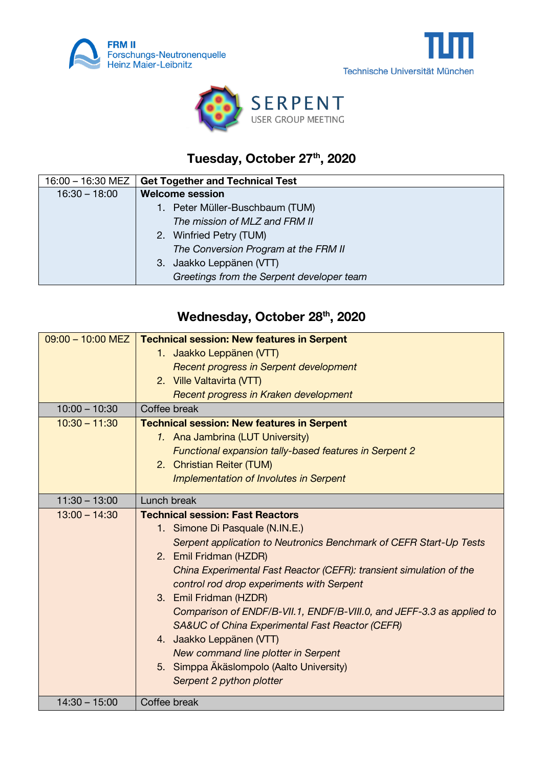





## **Tuesday, October 27th , 2020**

| 16:00 - 16:30 MEZ | <b>Get Together and Technical Test</b>    |
|-------------------|-------------------------------------------|
| $16:30 - 18:00$   | <b>Welcome session</b>                    |
|                   | 1. Peter Müller-Buschbaum (TUM)           |
|                   | The mission of MLZ and FRM II             |
|                   | 2. Winfried Petry (TUM)                   |
|                   | The Conversion Program at the FRM II      |
|                   | 3. Jaakko Leppänen (VTT)                  |
|                   | Greetings from the Serpent developer team |

## **Wednesday, October 28th, 2020**

| $09:00 - 10:00$ MEZ | <b>Technical session: New features in Serpent</b>                     |
|---------------------|-----------------------------------------------------------------------|
|                     | 1. Jaakko Leppänen (VTT)                                              |
|                     | Recent progress in Serpent development                                |
|                     | 2. Ville Valtavirta (VTT)                                             |
|                     | Recent progress in Kraken development                                 |
| $10:00 - 10:30$     | Coffee break                                                          |
| $10:30 - 11:30$     | <b>Technical session: New features in Serpent</b>                     |
|                     | 1. Ana Jambrina (LUT University)                                      |
|                     | Functional expansion tally-based features in Serpent 2                |
|                     | 2. Christian Reiter (TUM)                                             |
|                     | <b>Implementation of Involutes in Serpent</b>                         |
| $11:30 - 13:00$     | Lunch break                                                           |
| $13:00 - 14:30$     | <b>Technical session: Fast Reactors</b>                               |
|                     | 1. Simone Di Pasquale (N.IN.E.)                                       |
|                     | Serpent application to Neutronics Benchmark of CEFR Start-Up Tests    |
|                     | 2. Emil Fridman (HZDR)                                                |
|                     | China Experimental Fast Reactor (CEFR): transient simulation of the   |
|                     | control rod drop experiments with Serpent                             |
|                     | 3. Emil Fridman (HZDR)                                                |
|                     | Comparison of ENDF/B-VII.1, ENDF/B-VIII.0, and JEFF-3.3 as applied to |
|                     | <b>SA&amp;UC of China Experimental Fast Reactor (CEFR)</b>            |
|                     | 4. Jaakko Leppänen (VTT)                                              |
|                     | New command line plotter in Serpent                                   |
|                     | 5. Simppa Äkäslompolo (Aalto University)                              |
|                     | Serpent 2 python plotter                                              |
|                     |                                                                       |
| $14:30 - 15:00$     | Coffee break                                                          |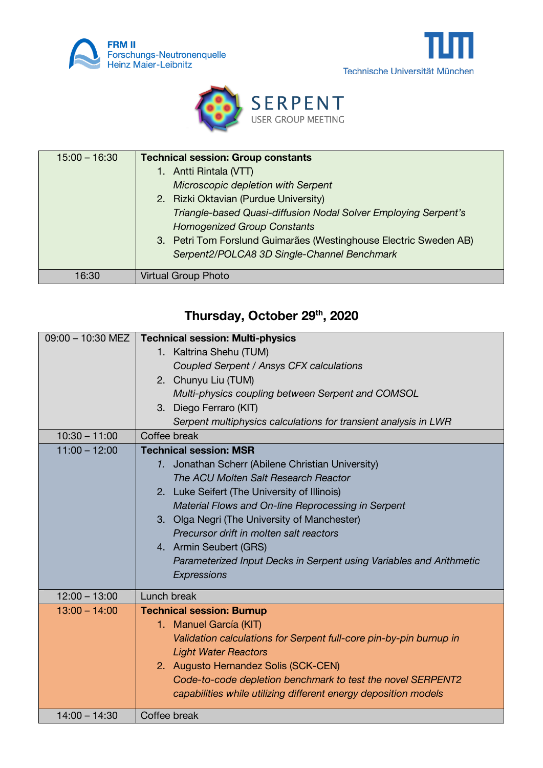





| $15:00 - 16:30$ | <b>Technical session: Group constants</b>                         |
|-----------------|-------------------------------------------------------------------|
|                 | 1. Antti Rintala (VTT)                                            |
|                 | Microscopic depletion with Serpent                                |
|                 | 2. Rizki Oktavian (Purdue University)                             |
|                 | Triangle-based Quasi-diffusion Nodal Solver Employing Serpent's   |
|                 | <b>Homogenized Group Constants</b>                                |
|                 | 3. Petri Tom Forslund Guimarães (Westinghouse Electric Sweden AB) |
|                 | Serpent2/POLCA8 3D Single-Channel Benchmark                       |
|                 |                                                                   |
| 16:30           | <b>Virtual Group Photo</b>                                        |

## **Thursday, October 29th, 2020**

| 09:00 - 10:30 MEZ | <b>Technical session: Multi-physics</b>                             |
|-------------------|---------------------------------------------------------------------|
|                   | 1. Kaltrina Shehu (TUM)                                             |
|                   | Coupled Serpent / Ansys CFX calculations                            |
|                   | 2. Chunyu Liu (TUM)                                                 |
|                   | Multi-physics coupling between Serpent and COMSOL                   |
|                   | 3. Diego Ferraro (KIT)                                              |
|                   | Serpent multiphysics calculations for transient analysis in LWR     |
| $10:30 - 11:00$   | Coffee break                                                        |
| $11:00 - 12:00$   | <b>Technical session: MSR</b>                                       |
|                   | 1. Jonathan Scherr (Abilene Christian University)                   |
|                   | The ACU Molten Salt Research Reactor                                |
|                   | 2. Luke Seifert (The University of Illinois)                        |
|                   | Material Flows and On-line Reprocessing in Serpent                  |
|                   | 3. Olga Negri (The University of Manchester)                        |
|                   | Precursor drift in molten salt reactors                             |
|                   | 4. Armin Seubert (GRS)                                              |
|                   | Parameterized Input Decks in Serpent using Variables and Arithmetic |
|                   | Expressions                                                         |
| $12:00 - 13:00$   | Lunch break                                                         |
| $13:00 - 14:00$   |                                                                     |
|                   | <b>Technical session: Burnup</b>                                    |
|                   | 1. Manuel García (KIT)                                              |
|                   | Validation calculations for Serpent full-core pin-by-pin burnup in  |
|                   | <b>Light Water Reactors</b>                                         |
|                   | 2. Augusto Hernandez Solis (SCK-CEN)                                |
|                   | Code-to-code depletion benchmark to test the novel SERPENT2         |
|                   | capabilities while utilizing different energy deposition models     |
| $14:00 - 14:30$   | Coffee break                                                        |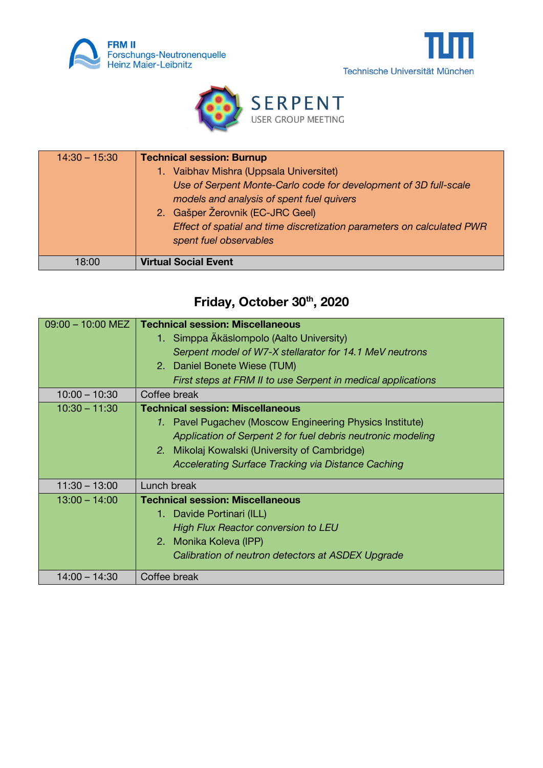





| $14:30 - 15:30$ | <b>Technical session: Burnup</b>                                       |
|-----------------|------------------------------------------------------------------------|
|                 | 1. Vaibhav Mishra (Uppsala Universitet)                                |
|                 | Use of Serpent Monte-Carlo code for development of 3D full-scale       |
|                 | models and analysis of spent fuel quivers                              |
|                 | 2. Gašper Žerovnik (EC-JRC Geel)                                       |
|                 | Effect of spatial and time discretization parameters on calculated PWR |
|                 | spent fuel observables                                                 |
|                 |                                                                        |
| 18:00           | <b>Virtual Social Event</b>                                            |

## **Friday, October 30th, 2020**

| $09:00 - 10:00$ MEZ | <b>Technical session: Miscellaneous</b>                      |
|---------------------|--------------------------------------------------------------|
|                     | 1. Simppa Äkäslompolo (Aalto University)                     |
|                     | Serpent model of W7-X stellarator for 14.1 MeV neutrons      |
|                     | 2. Daniel Bonete Wiese (TUM)                                 |
|                     | First steps at FRM II to use Serpent in medical applications |
| $10:00 - 10:30$     | Coffee break                                                 |
| $10:30 - 11:30$     | <b>Technical session: Miscellaneous</b>                      |
|                     | 1. Pavel Pugachev (Moscow Engineering Physics Institute)     |
|                     | Application of Serpent 2 for fuel debris neutronic modeling  |
|                     | 2. Mikolaj Kowalski (University of Cambridge)                |
|                     | <b>Accelerating Surface Tracking via Distance Caching</b>    |
| $11:30 - 13:00$     | Lunch break                                                  |
| $13:00 - 14:00$     | <b>Technical session: Miscellaneous</b>                      |
|                     | 1. Davide Portinari (ILL)                                    |
|                     | <b>High Flux Reactor conversion to LEU</b>                   |
|                     | 2. Monika Koleva (IPP)                                       |
|                     | Calibration of neutron detectors at ASDEX Upgrade            |
| $14:00 - 14:30$     | Coffee break                                                 |